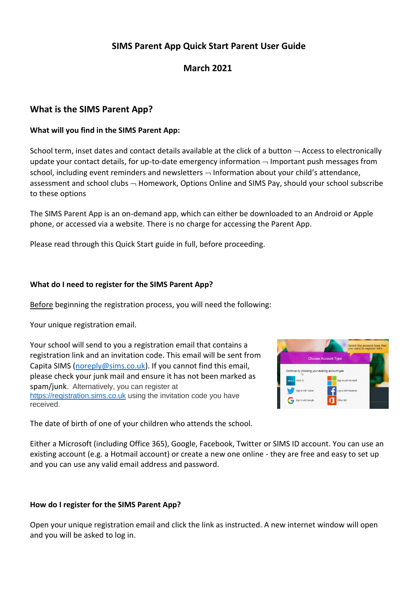# **SIMS Parent App Quick Start Parent User Guide**

# **March 2021**

# **What is the SIMS Parent App?**

## **What will you find in the SIMS Parent App:**

School term, inset dates and contact details available at the click of a button  $\rightarrow$  Access to electronically update your contact details, for up-to-date emergency information  $\neg$  Important push messages from school, including event reminders and newsletters  $-$  Information about your child's attendance, assessment and school clubs  $\neg$  Homework, Options Online and SIMS Pay, should your school subscribe to these options

The SIMS Parent App is an on-demand app, which can either be downloaded to an Android or Apple phone, or accessed via a website. There is no charge for accessing the Parent App.

Please read through this Quick Start guide in full, before proceeding.

#### **What do I need to register for the SIMS Parent App?**

Before beginning the registration process, you will need the following:

Your unique registration email.

Your school will send to you a registration email that contains a registration link and an invitation code. This email will be sent from Capita SIMS [\(noreply@sims.co.uk\)](mailto:noreply@sims.co.uk). If you cannot find this email, please check your junk mail and ensure it has not been marked as spam/junk. Alternatively, you can register at [https://registration.sims.co.uk](https://registration.sims.co.uk/) using the invitation code you have received.



The date of birth of one of your children who attends the school.

Either a Microsoft (including Office 365), Google, Facebook, Twitter or SIMS ID account. You can use an existing account (e.g. a Hotmail account) or create a new one online - they are free and easy to set up and you can use any valid email address and password.

## **How do I register for the SIMS Parent App?**

Open your unique registration email and click the link as instructed. A new internet window will open and you will be asked to log in.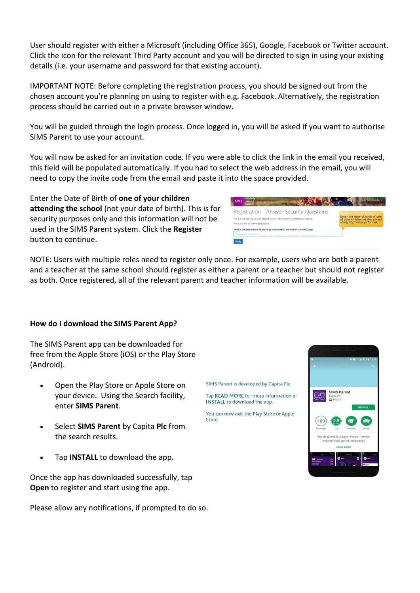User should register with either a Microsoft (including Office 365), Google, Facebook or Twitter account. Click the icon for the relevant Third Party account and you will be directed to sign in using your existing details (i.e. your username and password for that existing account).

IMPORTANT NOTE: Before completing the registration process, you should be signed out from the chosen account you're planning on using to register with e.g. Facebook. Alternatively, the registration process should be carried out in a private browser window.

You will be guided through the login process. Once logged in, you will be asked if you want to authorise SIMS Parent to use your account.

You will now be asked for an invitation code. If you were able to click the link in the email you received, this field will be populated automatically. If you had to select the web address in the email, you will need to copy the invite code from the email and paste it into the space provided.

Enter the Date of Birth of **one of your children attending the school** (not your date of birth). This is for security purposes only and this information will not be used in the SIMS Parent system. Click the **Register** button to continue.

| <b>SIMS</b><br>sokools<br>inspire<br>Registration - Answer Security Questions<br>You are required to provide a second piece of information to confirm your identity.<br>Please answer the following question. | Enter the date of birth of one<br>of your children at the school<br>using dd/mm/yyyy format. |
|---------------------------------------------------------------------------------------------------------------------------------------------------------------------------------------------------------------|----------------------------------------------------------------------------------------------|
| What is the date of birth of one of your children at the school? (dd/mm/yyyy)<br>Please enter your answer                                                                                                     |                                                                                              |
| Verify<br>a control with                                                                                                                                                                                      |                                                                                              |

NOTE: Users with multiple roles need to register only once. For example, users who are both a parent and a teacher at the same school should register as either a parent or a teacher but should not register as both. Once registered, all of the relevant parent and teacher information will be available.

#### **How do I download the SIMS Parent App?**

The SIMS Parent app can be downloaded for free from the Apple Store (iOS) or the Play Store (Android).

- Open the Play Store or Apple Store on your device. Using the Search facility, enter **SIMS Parent**.
- Select **SIMS Parent** by Capita **Plc** from the search results.
- Tap **INSTALL** to download the app.

Once the app has downloaded successfully, tap **Open** to register and start using the app.

Please allow any notifications, if prompted to do so.

SIMS Parent is developed by Capita Plc.

Tap READ MORE for more information or **INSTALL** to download the app.

You can now exit the Play Store or Apple Store.

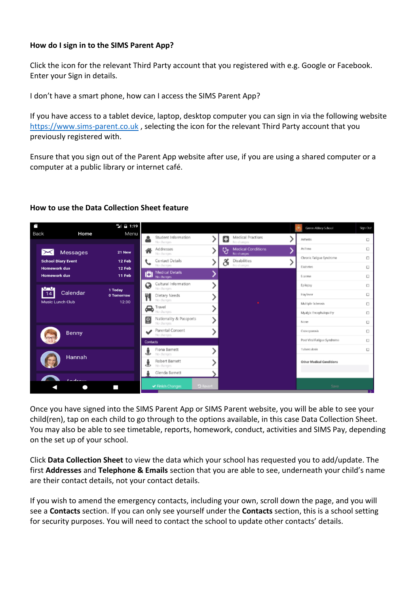## **How do I sign in to the SIMS Parent App?**

Click the icon for the relevant Third Party account that you registered with e.g. Google or Facebook. Enter your Sign in details.

I don't have a smart phone, how can I access the SIMS Parent App?

If you have access to a tablet device, laptop, desktop computer you can sign in via the following website [https://www.sims-parent.co.uk](https://www.sims-parent.co.uk/), selecting the icon for the relevant Third Party account that you previously registered with.

Ensure that you sign out of the Parent App website after use, if you are using a shared computer or a computer at a public library or internet café.

#### **How to use the Data Collection Sheet feature**

| Ē                         | $46$ $\frac{1}{24}$ 1:19       |                                            |          |                                              | Green Abbey School          | Sign Out |
|---------------------------|--------------------------------|--------------------------------------------|----------|----------------------------------------------|-----------------------------|----------|
| <b>Back</b><br>Home       | Menu                           | Student Information<br>No changes.         |          | Medical Practises<br>o<br>No changes         | <b>Arthritis</b>            | $\Box$   |
| <b>Messages</b><br>$\sim$ | 21 New                         | Addresses<br>No changes.                   |          | <b>Medical Conditions</b><br>Ÿ<br>No changes | Asthma                      | $\Box$   |
| <b>School Diary Event</b> | 12 Feb                         | Contact Details                            |          | <b>Disabilities</b>                          | Chronic Fatigue Syndrome    | $\Box$   |
| <b>Homework due</b>       | 12 Feb                         | No changes.                                |          | ő<br>No changes                              | <b>Diabrtes</b>             | $\Box$   |
| <b>Homework due</b>       | 11 Feb                         | Medical Details                            |          |                                              | Eczerna                     | $\Box$   |
| $\mathbf{u}$              | 1 Today                        | Cultural Information<br>No changes         |          |                                              | Epilopsy                    | $\Box$   |
| Calendar<br>14            | 0 Tomorrow                     | ۳I<br>Dietary Needs                        |          |                                              | Haylever                    | $\Box$   |
| <b>Music Lunch Club</b>   | 12:30                          | No changes                                 |          |                                              | Multiple Sclerosis          | O        |
|                           |                                | $\bigoplus$ Travel<br>No changes           |          |                                              | Myalgic Encephalopathy      | $\Box$   |
|                           |                                | Nationality & Passports<br>ි<br>No changes |          |                                              | Norse                       | $\Box$   |
| <b>Benny</b>              | Parental Consent<br>No changes |                                            |          | Ostenporosis                                 | $\Box$                      |          |
|                           |                                | Contacts                                   |          |                                              | Post Viral Fatigue Syndrome | $\Box$   |
|                           |                                | Fiona Barnett<br>No changes                |          |                                              | Tuberculosis                | $\Box$   |
| Hannah                    |                                | Robert Barnett<br>No changes               |          |                                              | Other Medical Conditions    |          |
|                           |                                | Glenda Barnett                             |          |                                              |                             |          |
| $A = A - A + B$           |                                | ← Finish Changes                           | D Revert |                                              | Save                        |          |

Once you have signed into the SIMS Parent App or SIMS Parent website, you will be able to see your child(ren), tap on each child to go through to the options available, in this case Data Collection Sheet. You may also be able to see timetable, reports, homework, conduct, activities and SIMS Pay, depending on the set up of your school.

Click **Data Collection Sheet** to view the data which your school has requested you to add/update. The first **Addresses** and **Telephone & Emails** section that you are able to see, underneath your child's name are their contact details, not your contact details.

If you wish to amend the emergency contacts, including your own, scroll down the page, and you will see a **Contacts** section. If you can only see yourself under the **Contacts** section, this is a school setting for security purposes. You will need to contact the school to update other contacts' details.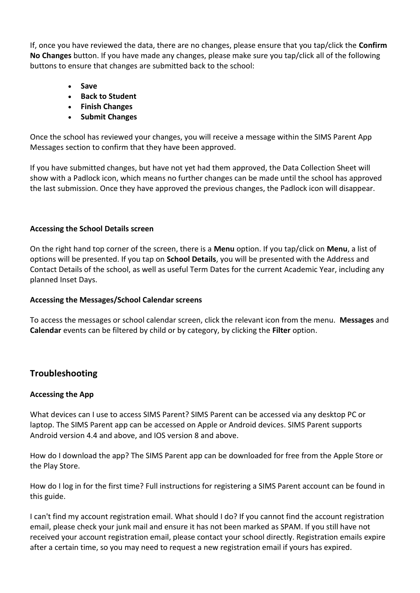If, once you have reviewed the data, there are no changes, please ensure that you tap/click the **Confirm No Changes** button. If you have made any changes, please make sure you tap/click all of the following buttons to ensure that changes are submitted back to the school:

- **Save**
- **Back to Student**
- **Finish Changes**
- **Submit Changes**

Once the school has reviewed your changes, you will receive a message within the SIMS Parent App Messages section to confirm that they have been approved.

If you have submitted changes, but have not yet had them approved, the Data Collection Sheet will show with a Padlock icon, which means no further changes can be made until the school has approved the last submission. Once they have approved the previous changes, the Padlock icon will disappear.

## **Accessing the School Details screen**

On the right hand top corner of the screen, there is a **Menu** option. If you tap/click on **Menu**, a list of options will be presented. If you tap on **School Details**, you will be presented with the Address and Contact Details of the school, as well as useful Term Dates for the current Academic Year, including any planned Inset Days.

## **Accessing the Messages/School Calendar screens**

To access the messages or school calendar screen, click the relevant icon from the menu. **Messages** and **Calendar** events can be filtered by child or by category, by clicking the **Filter** option.

## **Troubleshooting**

## **Accessing the App**

What devices can I use to access SIMS Parent? SIMS Parent can be accessed via any desktop PC or laptop. The SIMS Parent app can be accessed on Apple or Android devices. SIMS Parent supports Android version 4.4 and above, and IOS version 8 and above.

How do I download the app? The SIMS Parent app can be downloaded for free from the Apple Store or the Play Store.

How do I log in for the first time? Full instructions for registering a SIMS Parent account can be found in this guide.

I can't find my account registration email. What should I do? If you cannot find the account registration email, please check your junk mail and ensure it has not been marked as SPAM. If you still have not received your account registration email, please contact your school directly. Registration emails expire after a certain time, so you may need to request a new registration email if yours has expired.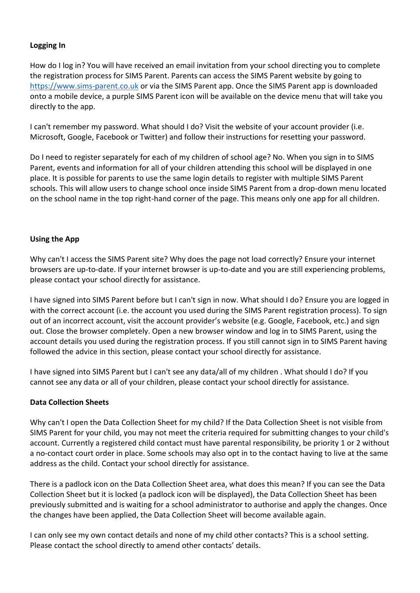## **Logging In**

How do I log in? You will have received an email invitation from your school directing you to complete the registration process for SIMS Parent. Parents can access the SIMS Parent website by going to [https://www.sims-parent.co.uk](https://www.sims-parent.co.uk/) or via the SIMS Parent app. Once the SIMS Parent app is downloaded onto a mobile device, a purple SIMS Parent icon will be available on the device menu that will take you directly to the app.

I can't remember my password. What should I do? Visit the website of your account provider (i.e. Microsoft, Google, Facebook or Twitter) and follow their instructions for resetting your password.

Do I need to register separately for each of my children of school age? No. When you sign in to SIMS Parent, events and information for all of your children attending this school will be displayed in one place. It is possible for parents to use the same login details to register with multiple SIMS Parent schools. This will allow users to change school once inside SIMS Parent from a drop-down menu located on the school name in the top right-hand corner of the page. This means only one app for all children.

## **Using the App**

Why can't I access the SIMS Parent site? Why does the page not load correctly? Ensure your internet browsers are up-to-date. If your internet browser is up-to-date and you are still experiencing problems, please contact your school directly for assistance.

I have signed into SIMS Parent before but I can't sign in now. What should I do? Ensure you are logged in with the correct account (i.e. the account you used during the SIMS Parent registration process). To sign out of an incorrect account, visit the account provider's website (e.g. Google, Facebook, etc.) and sign out. Close the browser completely. Open a new browser window and log in to SIMS Parent, using the account details you used during the registration process. If you still cannot sign in to SIMS Parent having followed the advice in this section, please contact your school directly for assistance.

I have signed into SIMS Parent but I can't see any data/all of my children . What should I do? If you cannot see any data or all of your children, please contact your school directly for assistance.

## **Data Collection Sheets**

Why can't I open the Data Collection Sheet for my child? If the Data Collection Sheet is not visible from SIMS Parent for your child, you may not meet the criteria required for submitting changes to your child's account. Currently a registered child contact must have parental responsibility, be priority 1 or 2 without a no-contact court order in place. Some schools may also opt in to the contact having to live at the same address as the child. Contact your school directly for assistance.

There is a padlock icon on the Data Collection Sheet area, what does this mean? If you can see the Data Collection Sheet but it is locked (a padlock icon will be displayed), the Data Collection Sheet has been previously submitted and is waiting for a school administrator to authorise and apply the changes. Once the changes have been applied, the Data Collection Sheet will become available again.

I can only see my own contact details and none of my child other contacts? This is a school setting. Please contact the school directly to amend other contacts' details.